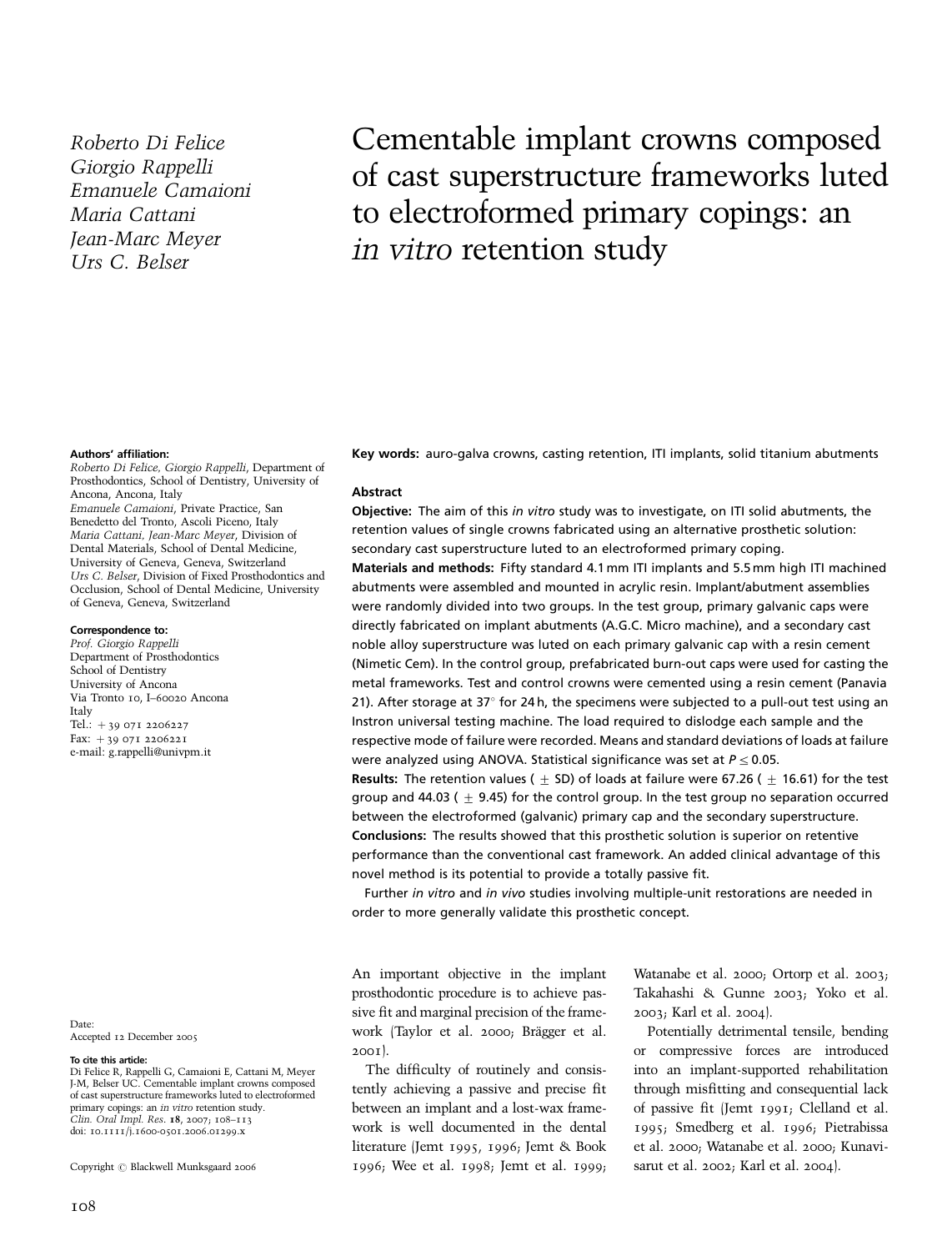Roberto Di Felice Giorgio Rappelli Emanuele Camaioni Maria Cattani Jean-Marc Meyer Urs C. Belser

# Cementable implant crowns composed of cast superstructure frameworks luted to electroformed primary copings: an in vitro retention study

#### Authors' affiliation:

Roberto Di Felice, Giorgio Rappelli, Department of Prosthodontics, School of Dentistry, University of Ancona, Ancona, Italy Emanuele Camaioni, Private Practice, San Benedetto del Tronto, Ascoli Piceno, Italy Maria Cattani, Jean-Marc Meyer, Division of Dental Materials, School of Dental Medicine, University of Geneva, Geneva, Switzerland Urs C. Belser, Division of Fixed Prosthodontics and Occlusion, School of Dental Medicine, University

#### Correspondence to:

Prof. Giorgio Rappelli Department of Prosthodontics School of Dentistry University of Ancona Via Tronto 10, I–60020 Ancona Italy Tel.:  $+390712206227$ Fax: +39 071 2206221 e-mail: g.rappelli@univpm.it

of Geneva, Geneva, Switzerland

Date: Accepted 12 December 2005

#### To cite this article:

Di Felice R, Rappelli G, Camaioni E, Cattani M, Meyer J-M, Belser UC. Cementable implant crowns composed of cast superstructure frameworks luted to electroformed primary copings: an in vitro retention study. Clin. Oral Impl. Res. 18, 2007; 108–113 doi: 10.1111/j.1600-0501.2006.01299.x

# Key words: auro-galva crowns, casting retention, ITI implants, solid titanium abutments

## **Abstract**

Objective: The aim of this in vitro study was to investigate, on ITI solid abutments, the retention values of single crowns fabricated using an alternative prosthetic solution: secondary cast superstructure luted to an electroformed primary coping.

Materials and methods: Fifty standard 4.1 mm ITI implants and 5.5 mm high ITI machined abutments were assembled and mounted in acrylic resin. Implant/abutment assemblies were randomly divided into two groups. In the test group, primary galvanic caps were directly fabricated on implant abutments (A.G.C. Micro machine), and a secondary cast noble alloy superstructure was luted on each primary galvanic cap with a resin cement (Nimetic Cem). In the control group, prefabricated burn-out caps were used for casting the metal frameworks. Test and control crowns were cemented using a resin cement (Panavia 21). After storage at 37 $^{\circ}$  for 24 h, the specimens were subjected to a pull-out test using an Instron universal testing machine. The load required to dislodge each sample and the respective mode of failure were recorded. Means and standard deviations of loads at failure were analyzed using ANOVA. Statistical significance was set at  $P \leq 0.05$ .

**Results:** The retention values (  $\pm$  SD) of loads at failure were 67.26 (  $\pm$  16.61) for the test group and 44.03 (  $\pm$  9.45) for the control group. In the test group no separation occurred between the electroformed (galvanic) primary cap and the secondary superstructure. Conclusions: The results showed that this prosthetic solution is superior on retentive performance than the conventional cast framework. An added clinical advantage of this novel method is its potential to provide a totally passive fit.

Further in vitro and in vivo studies involving multiple-unit restorations are needed in order to more generally validate this prosthetic concept.

An important objective in the implant prosthodontic procedure is to achieve passive fit and marginal precision of the framework (Taylor et al. 2000; Brägger et al. 2001).

The difficulty of routinely and consistently achieving a passive and precise fit between an implant and a lost-wax framework is well documented in the dental literature (Jemt 1995, 1996; Jemt & Book 1996; Wee et al. 1998; Jemt et al. 1999; Copyright *r* Blackwell Munksgaard 2006 sarut et al. 2002; Karl et al. 2004).

Watanabe et al. 2000; Ortorp et al. 2003; Takahashi & Gunne 2003; Yoko et al. 2003; Karl et al. 2004).

Potentially detrimental tensile, bending or compressive forces are introduced into an implant-supported rehabilitation through misfitting and consequential lack of passive fit (Jemt 1991; Clelland et al. 1995; Smedberg et al. 1996; Pietrabissa et al. 2000; Watanabe et al. 2000; Kunavi-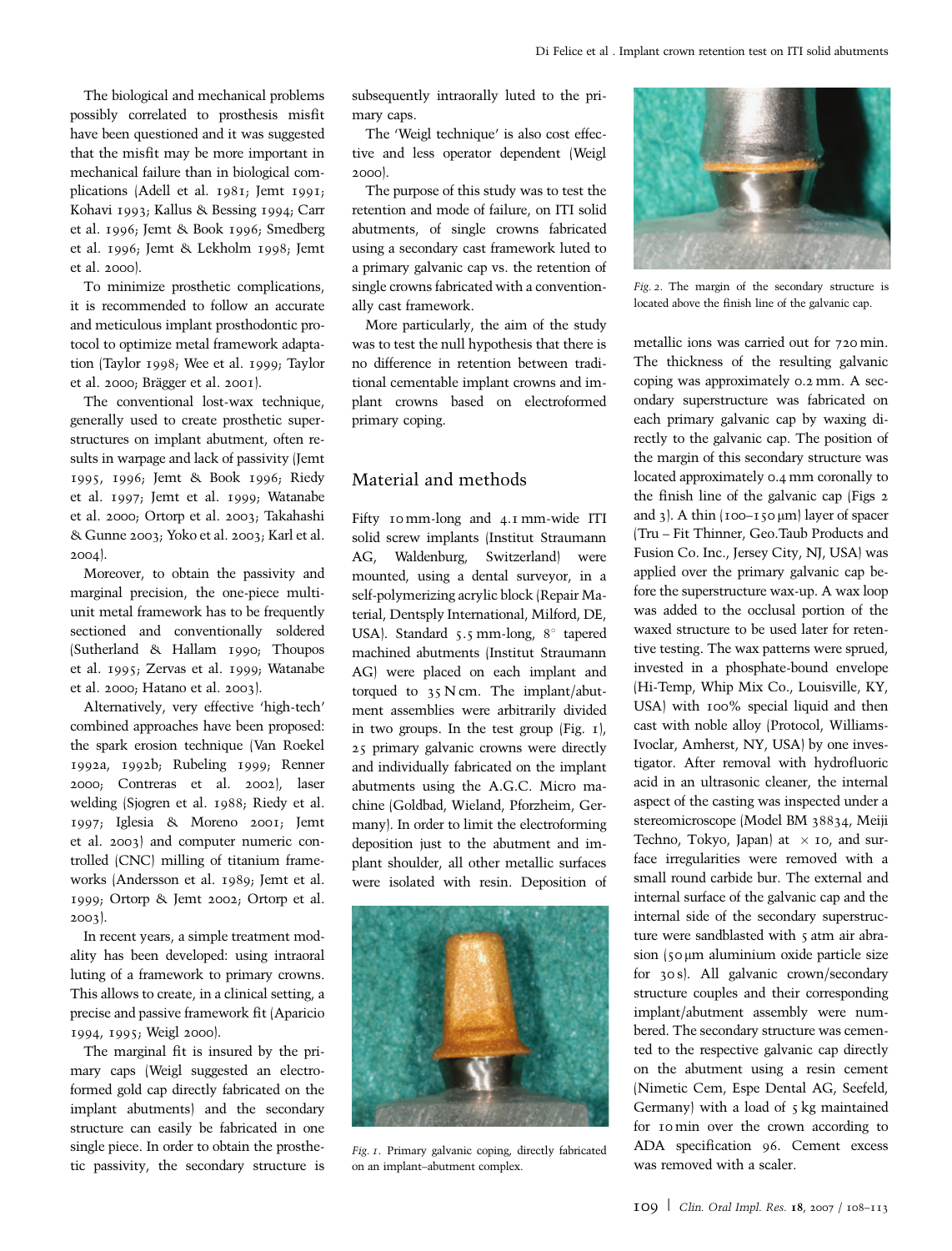The biological and mechanical problems possibly correlated to prosthesis misfit have been questioned and it was suggested that the misfit may be more important in mechanical failure than in biological complications (Adell et al. 1981; Jemt 1991; Kohavi 1993; Kallus & Bessing 1994; Carr et al. 1996; Jemt & Book 1996; Smedberg et al. 1996; Jemt & Lekholm 1998; Jemt et al. 2000).

To minimize prosthetic complications, it is recommended to follow an accurate and meticulous implant prosthodontic protocol to optimize metal framework adaptation (Taylor 1998; Wee et al. 1999; Taylor et al. 2000; Brägger et al. 2001).

The conventional lost-wax technique, generally used to create prosthetic superstructures on implant abutment, often results in warpage and lack of passivity (Jemt 1995, 1996; Jemt & Book 1996; Riedy et al. 1997; Jemt et al. 1999; Watanabe et al. 2000; Ortorp et al. 2003; Takahashi & Gunne 2003; Yoko et al. 2003; Karl et al. 2004).

Moreover, to obtain the passivity and marginal precision, the one-piece multiunit metal framework has to be frequently sectioned and conventionally soldered (Sutherland & Hallam 1990; Thoupos et al. 1995; Zervas et al. 1999; Watanabe et al. 2000; Hatano et al. 2003).

Alternatively, very effective 'high-tech' combined approaches have been proposed: the spark erosion technique (Van Roekel 1992a, 1992b; Rubeling 1999; Renner 2000; Contreras et al. 2002), laser welding (Sjogren et al. 1988; Riedy et al. 1997; Iglesia & Moreno 2001; Jemt et al. 2003) and computer numeric controlled (CNC) milling of titanium frameworks (Andersson et al. 1989; Jemt et al. 1999; Ortorp & Jemt 2002; Ortorp et al. 2003).

In recent years, a simple treatment modality has been developed: using intraoral luting of a framework to primary crowns. This allows to create, in a clinical setting, a precise and passive framework fit (Aparicio 1994, 1995; Weigl 2000).

The marginal fit is insured by the primary caps (Weigl suggested an electroformed gold cap directly fabricated on the implant abutments) and the secondary structure can easily be fabricated in one single piece. In order to obtain the prosthetic passivity, the secondary structure is subsequently intraorally luted to the primary caps.

The 'Weigl technique' is also cost effective and less operator dependent (Weigl 2000).

The purpose of this study was to test the retention and mode of failure, on ITI solid abutments, of single crowns fabricated using a secondary cast framework luted to a primary galvanic cap vs. the retention of single crowns fabricated with a conventionally cast framework.

More particularly, the aim of the study was to test the null hypothesis that there is no difference in retention between traditional cementable implant crowns and implant crowns based on electroformed primary coping.

## Material and methods

Fifty 10 mm-long and 4.1 mm-wide ITI solid screw implants (Institut Straumann AG, Waldenburg, Switzerland) were mounted, using a dental surveyor, in a self-polymerizing acrylic block (Repair Material, Dentsply International, Milford, DE, USA). Standard  $5.5$  mm-long,  $8^\circ$  tapered machined abutments (Institut Straumann AG) were placed on each implant and torqued to  $35$  N cm. The implant/abutment assemblies were arbitrarily divided in two groups. In the test group (Fig. 1), 25 primary galvanic crowns were directly and individually fabricated on the implant abutments using the A.G.C. Micro machine (Goldbad, Wieland, Pforzheim, Germany). In order to limit the electroforming deposition just to the abutment and implant shoulder, all other metallic surfaces were isolated with resin. Deposition of



Fig. 1. Primary galvanic coping, directly fabricated on an implant–abutment complex.



Fig. 2. The margin of the secondary structure is located above the finish line of the galvanic cap.

metallic ions was carried out for 720 min. The thickness of the resulting galvanic coping was approximately 0.2 mm. A secondary superstructure was fabricated on each primary galvanic cap by waxing directly to the galvanic cap. The position of the margin of this secondary structure was located approximately 0.4 mm coronally to the finish line of the galvanic cap (Figs 2 and 3). A thin  $(100 - 150 \mu m)$  layer of spacer (Tru – Fit Thinner, Geo.Taub Products and Fusion Co. Inc., Jersey City, NJ, USA) was applied over the primary galvanic cap before the superstructure wax-up. A wax loop was added to the occlusal portion of the waxed structure to be used later for retentive testing. The wax patterns were sprued, invested in a phosphate-bound envelope (Hi-Temp, Whip Mix Co., Louisville, KY, USA) with 100% special liquid and then cast with noble alloy (Protocol, Williams-Ivoclar, Amherst, NY, USA) by one investigator. After removal with hydrofluoric acid in an ultrasonic cleaner, the internal aspect of the casting was inspected under a stereomicroscope (Model BM 38834, Meiji Techno, Tokyo, Japan) at  $\times$  10, and surface irregularities were removed with a small round carbide bur. The external and internal surface of the galvanic cap and the internal side of the secondary superstructure were sandblasted with 5 atm air abrasion (50 µm aluminium oxide particle size for 30 s). All galvanic crown/secondary structure couples and their corresponding implant/abutment assembly were numbered. The secondary structure was cemented to the respective galvanic cap directly on the abutment using a resin cement (Nimetic Cem, Espe Dental AG, Seefeld, Germany) with a load of 5 kg maintained for 10 min over the crown according to ADA specification 96. Cement excess was removed with a scaler.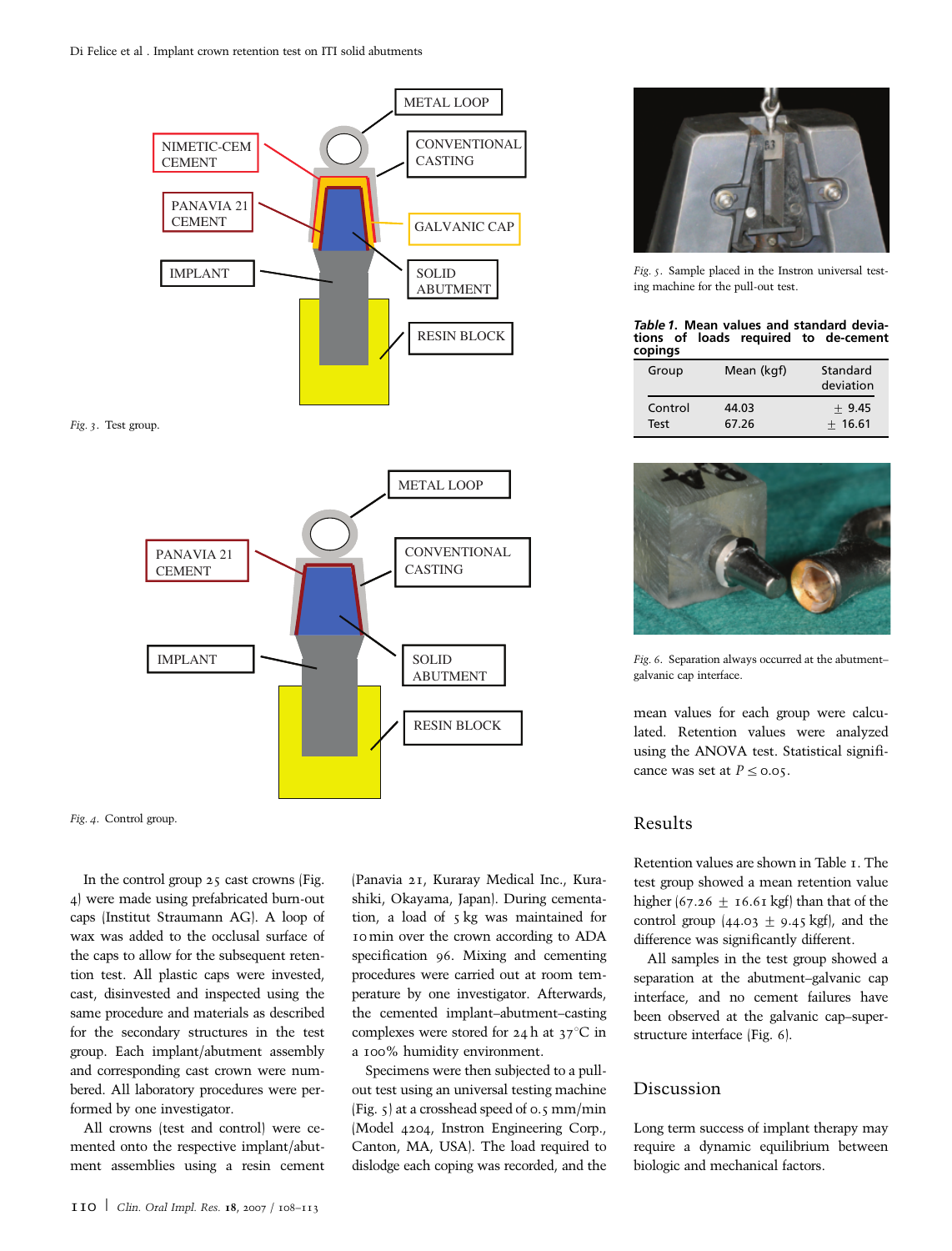

Fig. 4. Control group.

In the control group 25 cast crowns (Fig. 4) were made using prefabricated burn-out caps (Institut Straumann AG). A loop of wax was added to the occlusal surface of the caps to allow for the subsequent retention test. All plastic caps were invested, cast, disinvested and inspected using the same procedure and materials as described for the secondary structures in the test group. Each implant/abutment assembly and corresponding cast crown were numbered. All laboratory procedures were performed by one investigator.

All crowns (test and control) were cemented onto the respective implant/abutment assemblies using a resin cement (Panavia 21, Kuraray Medical Inc., Kurashiki, Okayama, Japan). During cementation, a load of 5 kg was maintained for 10 min over the crown according to ADA specification 96. Mixing and cementing procedures were carried out at room temperature by one investigator. Afterwards, the cemented implant–abutment–casting complexes were stored for  $24 h$  at  $37^{\circ}$ C in a 100% humidity environment.

Specimens were then subjected to a pullout test using an universal testing machine (Fig.  $\varsigma$ ) at a crosshead speed of 0.5 mm/min (Model 4204, Instron Engineering Corp., Canton, MA, USA). The load required to dislodge each coping was recorded, and the



Fig. 5. Sample placed in the Instron universal testing machine for the pull-out test.

Table 1. Mean values and standard deviations of loads required to de-cement copings

| Group       | Mean (kgf) | Standard<br>deviation |
|-------------|------------|-----------------------|
| Control     | 44.03      | $+9.45$               |
| <b>Test</b> | 67.26      | $+16.61$              |



Fig. 6. Separation always occurred at the abutment– galvanic cap interface.

mean values for each group were calculated. Retention values were analyzed using the ANOVA test. Statistical significance was set at  $P \le 0.05$ .

## Results

Retention values are shown in Table 1. The test group showed a mean retention value higher (67.26  $\pm$  16.61 kgf) than that of the control group  $(44.03 \pm 9.45 \text{ kgf})$ , and the difference was significantly different.

All samples in the test group showed a separation at the abutment–galvanic cap interface, and no cement failures have been observed at the galvanic cap–superstructure interface (Fig. 6).

### Discussion

Long term success of implant therapy may require a dynamic equilibrium between biologic and mechanical factors.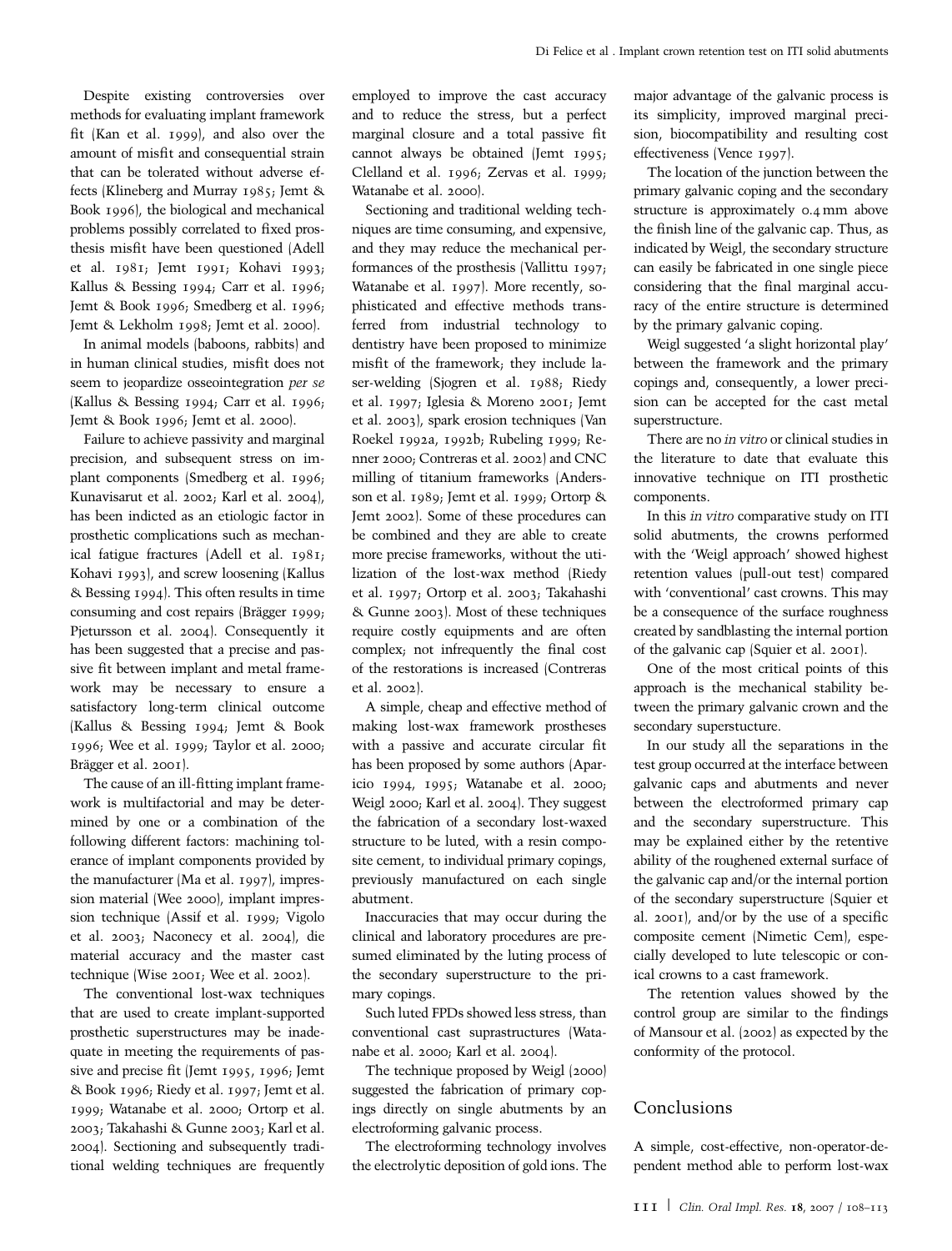Despite existing controversies over methods for evaluating implant framework fit (Kan et al. 1999), and also over the amount of misfit and consequential strain that can be tolerated without adverse effects (Klineberg and Murray 1985; Jemt & Book 1996), the biological and mechanical problems possibly correlated to fixed prosthesis misfit have been questioned (Adell et al. 1981; Jemt 1991; Kohavi 1993; Kallus & Bessing 1994; Carr et al. 1996; Jemt & Book 1996; Smedberg et al. 1996; Jemt & Lekholm 1998; Jemt et al. 2000).

In animal models (baboons, rabbits) and in human clinical studies, misfit does not seem to jeopardize osseointegration per se (Kallus & Bessing 1994; Carr et al. 1996; Jemt & Book 1996; Jemt et al. 2000).

Failure to achieve passivity and marginal precision, and subsequent stress on implant components (Smedberg et al. 1996; Kunavisarut et al. 2002; Karl et al. 2004), has been indicted as an etiologic factor in prosthetic complications such as mechanical fatigue fractures (Adell et al. 1981; Kohavi 1993), and screw loosening (Kallus & Bessing 1994). This often results in time consuming and cost repairs (Brägger 1999; Pjetursson et al. 2004). Consequently it has been suggested that a precise and passive fit between implant and metal framework may be necessary to ensure a satisfactory long-term clinical outcome (Kallus & Bessing 1994; Jemt & Book 1996; Wee et al. 1999; Taylor et al. 2000; Brägger et al. 2001).

The cause of an ill-fitting implant framework is multifactorial and may be determined by one or a combination of the following different factors: machining tolerance of implant components provided by the manufacturer (Ma et al. 1997), impression material (Wee 2000), implant impression technique (Assif et al. 1999; Vigolo et al. 2003; Naconecy et al. 2004), die material accuracy and the master cast technique (Wise 2001; Wee et al. 2002).

The conventional lost-wax techniques that are used to create implant-supported prosthetic superstructures may be inadequate in meeting the requirements of passive and precise fit (Jemt 1995, 1996; Jemt & Book 1996; Riedy et al. 1997; Jemt et al. 1999; Watanabe et al. 2000; Ortorp et al. 2003; Takahashi & Gunne 2003; Karl et al. 2004). Sectioning and subsequently traditional welding techniques are frequently employed to improve the cast accuracy and to reduce the stress, but a perfect marginal closure and a total passive fit cannot always be obtained (Jemt 1995; Clelland et al. 1996; Zervas et al. 1999; Watanabe et al. 2000).

Sectioning and traditional welding techniques are time consuming, and expensive, and they may reduce the mechanical performances of the prosthesis (Vallittu 1997; Watanabe et al. 1997). More recently, sophisticated and effective methods transferred from industrial technology to dentistry have been proposed to minimize misfit of the framework; they include laser-welding (Sjogren et al. 1988; Riedy et al. 1997; Iglesia & Moreno 2001; Jemt et al. 2003), spark erosion techniques (Van Roekel 1992a, 1992b; Rubeling 1999; Renner 2000; Contreras et al. 2002) and CNC milling of titanium frameworks (Andersson et al. 1989; Jemt et al. 1999; Ortorp & Jemt 2002). Some of these procedures can be combined and they are able to create more precise frameworks, without the utilization of the lost-wax method (Riedy et al. 1997; Ortorp et al. 2003; Takahashi & Gunne 2003). Most of these techniques require costly equipments and are often complex; not infrequently the final cost of the restorations is increased (Contreras et al. 2002).

A simple, cheap and effective method of making lost-wax framework prostheses with a passive and accurate circular fit has been proposed by some authors (Aparicio 1994, 1995; Watanabe et al. 2000; Weigl 2000; Karl et al. 2004). They suggest the fabrication of a secondary lost-waxed structure to be luted, with a resin composite cement, to individual primary copings, previously manufactured on each single abutment.

Inaccuracies that may occur during the clinical and laboratory procedures are presumed eliminated by the luting process of the secondary superstructure to the primary copings.

Such luted FPDs showed less stress, than conventional cast suprastructures (Watanabe et al. 2000; Karl et al. 2004).

The technique proposed by Weigl (2000) suggested the fabrication of primary copings directly on single abutments by an electroforming galvanic process.

The electroforming technology involves the electrolytic deposition of gold ions. The major advantage of the galvanic process is its simplicity, improved marginal precision, biocompatibility and resulting cost effectiveness (Vence 1997).

The location of the junction between the primary galvanic coping and the secondary structure is approximately 0.4 mm above the finish line of the galvanic cap. Thus, as indicated by Weigl, the secondary structure can easily be fabricated in one single piece considering that the final marginal accuracy of the entire structure is determined by the primary galvanic coping.

Weigl suggested 'a slight horizontal play' between the framework and the primary copings and, consequently, a lower precision can be accepted for the cast metal superstructure.

There are no in vitro or clinical studies in the literature to date that evaluate this innovative technique on ITI prosthetic components.

In this in vitro comparative study on ITI solid abutments, the crowns performed with the 'Weigl approach' showed highest retention values (pull-out test) compared with 'conventional' cast crowns. This may be a consequence of the surface roughness created by sandblasting the internal portion of the galvanic cap (Squier et al. 2001).

One of the most critical points of this approach is the mechanical stability between the primary galvanic crown and the secondary superstucture.

In our study all the separations in the test group occurred at the interface between galvanic caps and abutments and never between the electroformed primary cap and the secondary superstructure. This may be explained either by the retentive ability of the roughened external surface of the galvanic cap and/or the internal portion of the secondary superstructure (Squier et al. 2001), and/or by the use of a specific composite cement (Nimetic Cem), especially developed to lute telescopic or conical crowns to a cast framework.

The retention values showed by the control group are similar to the findings of Mansour et al. (2002) as expected by the conformity of the protocol.

# Conclusions

A simple, cost-effective, non-operator-dependent method able to perform lost-wax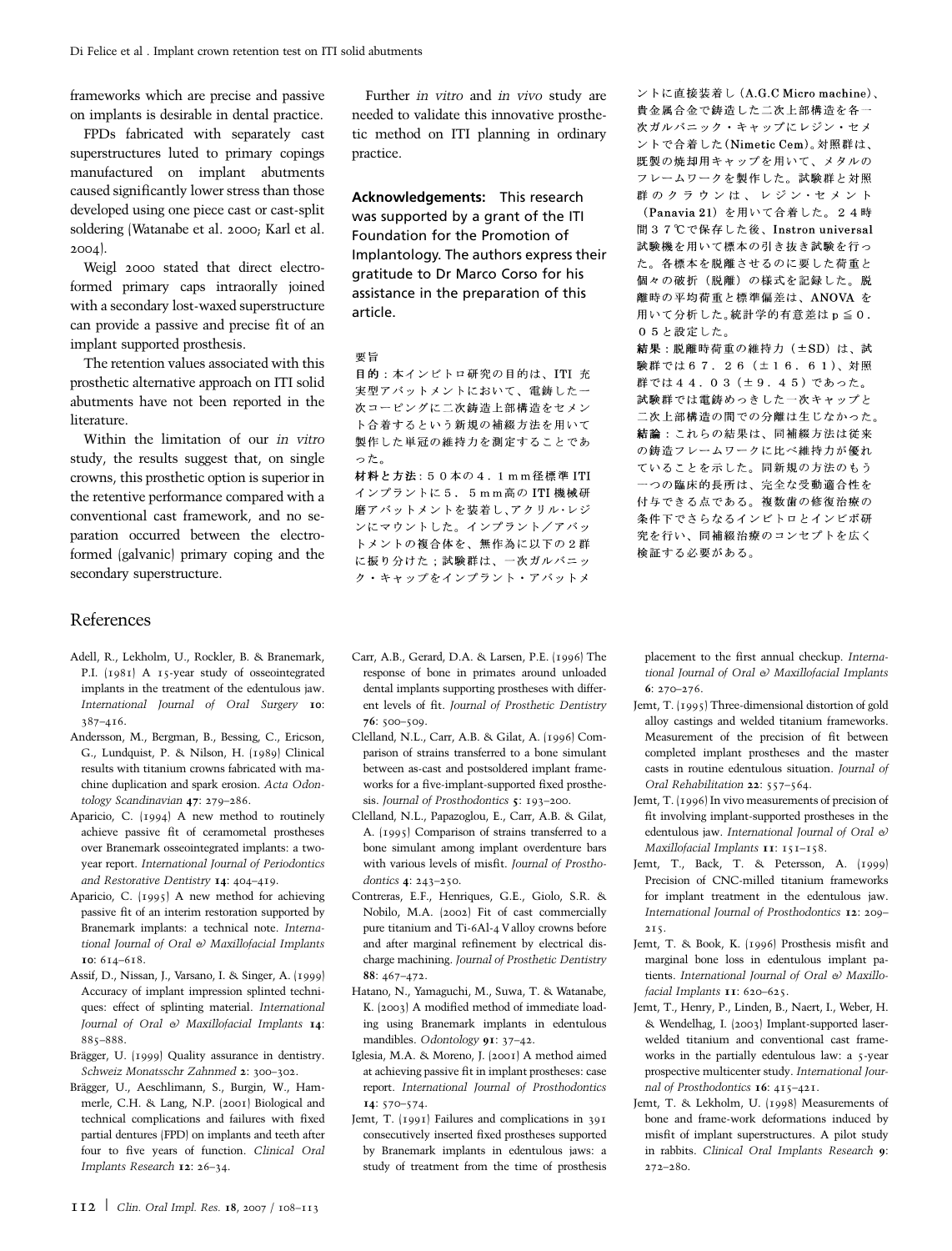frameworks which are precise and passive on implants is desirable in dental practice.

FPDs fabricated with separately cast superstructures luted to primary copings manufactured on implant abutments caused significantly lower stress than those developed using one piece cast or cast-split soldering (Watanabe et al. 2000; Karl et al. 2004).

Weigl 2000 stated that direct electroformed primary caps intraorally joined with a secondary lost-waxed superstructure can provide a passive and precise fit of an implant supported prosthesis.

The retention values associated with this prosthetic alternative approach on ITI solid abutments have not been reported in the literature.

Within the limitation of our in vitro study, the results suggest that, on single crowns, this prosthetic option is superior in the retentive performance compared with a conventional cast framework, and no separation occurred between the electroformed (galvanic) primary coping and the secondary superstructure.

## References

- Adell, R., Lekholm, U., Rockler, B. & Branemark, P.I. (1981) A 15-year study of osseointegrated implants in the treatment of the edentulous jaw. International Journal of Oral Surgery 10: 387–416.
- Andersson, M., Bergman, B., Bessing, C., Ericson, G., Lundquist, P. & Nilson, H. (1989) Clinical results with titanium crowns fabricated with machine duplication and spark erosion. Acta Odontology Scandinavian 47: 279–286.
- Aparicio, C. (1994) A new method to routinely achieve passive fit of ceramometal prostheses over Branemark osseointegrated implants: a twoyear report. International Journal of Periodontics and Restorative Dentistry 14: 404–419.
- Aparicio, C. (1995) A new method for achieving passive fit of an interim restoration supported by Branemark implants: a technical note. International Journal of Oral  $\Theta$  Maxillofacial Implants 10: 614–618.
- Assif, D., Nissan, J., Varsano, I. & Singer, A. (1999) Accuracy of implant impression splinted techniques: effect of splinting material. International Journal of Oral & Maxillofacial Implants 14: 885–888.
- Brägger, U. (1999) Quality assurance in dentistry. Schweiz Monatsschr Zahnmed 2: 300–302.
- Brägger, U., Aeschlimann, S., Burgin, W., Hammerle, C.H. & Lang, N.P. (2001) Biological and technical complications and failures with fixed partial dentures (FPD) on implants and teeth after four to five years of function. Clinical Oral Implants Research 12: 26–34.

Further in vitro and in vivo study are needed to validate this innovative prosthetic method on ITI planning in ordinary practice.

Acknowledgements: This research was supported by a grant of the ITI Foundation for the Promotion of Implantology. The authors express their gratitude to Dr Marco Corso for his assistance in the preparation of this article.

#### 要旨

目的:本インビトロ研究の目的は、ITI 充 実型アバットメントにおいて、電鋳したー 次コーピングに二次鋳造上部構造をセメン ト合着するという新規の補綴方法を用いて 製作した単冠の維持力を測定することであ った。

材料と方法: 50本の4.1mm径標準 ITI インプラントに5. 5mm高の ITI 機械研 磨アバットメントを装着し、アクリル・レジ ンにマウントした。インプラント/アバッ トメントの複合体を、無作為に以下の2群 に振り分けた;試験群は、一次ガルバニッ ク・キャップをインプラント・アバットメ

- Carr, A.B., Gerard, D.A. & Larsen, P.E. (1996) The response of bone in primates around unloaded dental implants supporting prostheses with different levels of fit. Journal of Prosthetic Dentistry 76: 500–509.
- Clelland, N.L., Carr, A.B. & Gilat, A. (1996) Comparison of strains transferred to a bone simulant between as-cast and postsoldered implant frameworks for a five-implant-supported fixed prosthesis. Journal of Prosthodontics 5: 193-200.
- Clelland, N.L., Papazoglou, E., Carr, A.B. & Gilat, A. (1995) Comparison of strains transferred to a bone simulant among implant overdenture bars with various levels of misfit. Journal of Prosthodontics 4: 243–250.
- Contreras, E.F., Henriques, G.E., Giolo, S.R. & Nobilo, M.A. (2002) Fit of cast commercially pure titanium and Ti-6Al-4 V alloy crowns before and after marginal refinement by electrical discharge machining. Journal of Prosthetic Dentistry 88: 467–472.
- Hatano, N., Yamaguchi, M., Suwa, T. & Watanabe, K. (2003) A modified method of immediate loading using Branemark implants in edentulous mandibles. Odontology 91: 37–42.
- Iglesia, M.A. & Moreno, J. (2001) A method aimed at achieving passive fit in implant prostheses: case report. International Journal of Prosthodontics 14: 570–574.
- Jemt, T. (1991) Failures and complications in 391 consecutively inserted fixed prostheses supported by Branemark implants in edentulous jaws: a study of treatment from the time of prosthesis

ントに直接装着し (A.G.C Micro machine)、 貴金属合金で鋳造した二次上部構造を各一 次ガルバニック・キャップにレジン・セメ ントで合着した(Nimetic Cem)。対照群は、 既製の焼却用キャップを用いて、メタルの フレームワークを製作した。試験群と対照 群のクラウンは、レジン·セメント (Panavia 21) を用いて合着した。24時 間37℃で保存した後、Instron universal 試験機を用いて標本の引き抜き試験を行っ た。各標本を脱離させるのに要した荷重と 個々の破折(脱離)の様式を記録した。脱 離時の平均荷重と標準偏差は、ANOVA を 用いて分析した。統計学的有意差はp≦0. 05と設定した。

結果:脱離時荷重の維持力 (±SD) は、試 験群では67.26 (±16.61)、対照 群では44.03 (±9.45)であった。 試験群では電鋳めっきした一次キャップと 二次上部構造の間での分離は生じなかった。 結論:これらの結果は、同補綴方法は従来 の鋳造フレームワークに比べ維持力が優れ ていることを示した。同新規の方法のもう 一つの臨床的長所は、完全な受動適合性を 付与できる点である。複数歯の修復治療の 条件下でさらなるインビトロとインビボ研 究を行い、同補綴治療のコンセプトを広く 検証する必要がある。

placement to the first annual checkup. International Journal of Oral  $\Theta$  Maxillofacial Implants 6: 270–276.

- Jemt, T. (1995) Three-dimensional distortion of gold alloy castings and welded titanium frameworks. Measurement of the precision of fit between completed implant prostheses and the master casts in routine edentulous situation. Journal of Oral Rehabilitation 22: 557–564.
- Jemt, T. (1996) In vivo measurements of precision of fit involving implant-supported prostheses in the edentulous jaw. International Journal of Oral  $\oplus$ Maxillofacial Implants 11: 151-158.
- Jemt, T., Back, T. & Petersson, A. (1999) Precision of CNC-milled titanium frameworks for implant treatment in the edentulous jaw. International Journal of Prosthodontics 12: 209– 215.
- Jemt, T. & Book, K. (1996) Prosthesis misfit and marginal bone loss in edentulous implant patients. International Journal of Oral & Maxillofacial Implants 11: 620-625.
- Jemt, T., Henry, P., Linden, B., Naert, I., Weber, H. & Wendelhag, I. (2003) Implant-supported laserwelded titanium and conventional cast frameworks in the partially edentulous law: a 5-year prospective multicenter study. International Journal of Prosthodontics 16: 415–421.
- Jemt, T. & Lekholm, U. (1998) Measurements of bone and frame-work deformations induced by misfit of implant superstructures. A pilot study in rabbits. Clinical Oral Implants Research 9: 272–280.